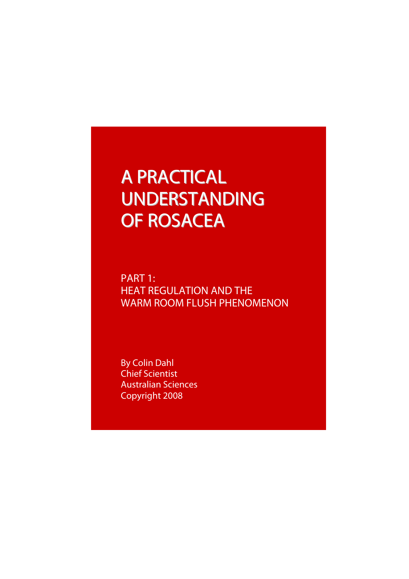# A PRACTICAL UNDERSTANDING OF ROSACEA

PART 1: HEAT REGULATION AND THE WARM ROOM FLUSH PHENOMENON

By Colin Dahl Chief Scientist Australian Sciences Copyright 2008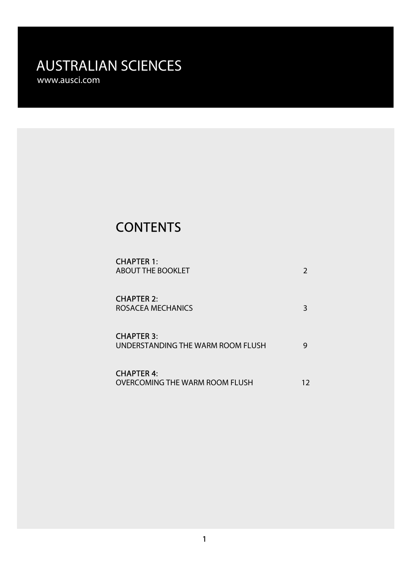# **CONTENTS**

| <b>CHAPTER 1:</b><br><b>ABOUT THE BOOKLET</b>              |    |
|------------------------------------------------------------|----|
| <b>CHAPTER 2:</b><br>ROSACEA MECHANICS                     | 3  |
| <b>CHAPTER 3:</b><br>UNDERSTANDING THE WARM ROOM FLUSH     |    |
| <b>CHAPTER 4:</b><br><b>OVERCOMING THE WARM ROOM FLUSH</b> | 12 |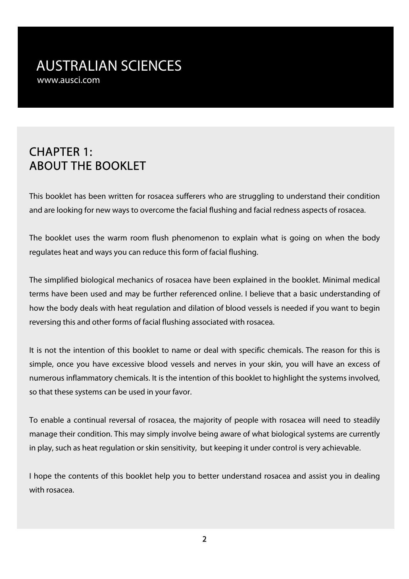# CHAPTER 1: ABOUT THE BOOKLET

This booklet has been written for rosacea sufferers who are struggling to understand their condition and are looking for new ways to overcome the facial flushing and facial redness aspects of rosacea.

The booklet uses the warm room flush phenomenon to explain what is going on when the body regulates heat and ways you can reduce this form of facial flushing.

The simplified biological mechanics of rosacea have been explained in the booklet. Minimal medical terms have been used and may be further referenced online. I believe that a basic understanding of how the body deals with heat regulation and dilation of blood vessels is needed if you want to begin reversing this and other forms of facial flushing associated with rosacea.

It is not the intention of this booklet to name or deal with specific chemicals. The reason for this is simple, once you have excessive blood vessels and nerves in your skin, you will have an excess of numerous inflammatory chemicals. It is the intention of this booklet to highlight the systems involved, so that these systems can be used in your favor.

To enable a continual reversal of rosacea, the majority of people with rosacea will need to steadily manage their condition. This may simply involve being aware of what biological systems are currently in play, such as heat regulation or skin sensitivity, but keeping it under control is very achievable.

I hope the contents of this booklet help you to better understand rosacea and assist you in dealing with rosacea.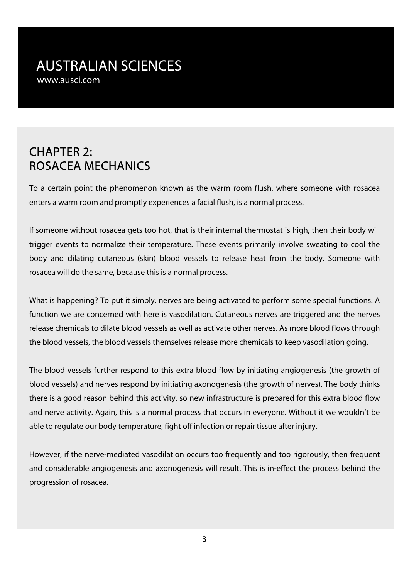# CHAPTER 2: ROSACEA MECHANICS

To a certain point the phenomenon known as the warm room flush, where someone with rosacea enters a warm room and promptly experiences a facial flush, is a normal process.

If someone without rosacea gets too hot, that is their internal thermostat is high, then their body will trigger events to normalize their temperature. These events primarily involve sweating to cool the body and dilating cutaneous (skin) blood vessels to release heat from the body. Someone with rosacea will do the same, because this is a normal process.

What is happening? To put it simply, nerves are being activated to perform some special functions. A function we are concerned with here is vasodilation. Cutaneous nerves are triggered and the nerves release chemicals to dilate blood vessels as well as activate other nerves. As more blood flows through the blood vessels, the blood vessels themselves release more chemicals to keep vasodilation going.

The blood vessels further respond to this extra blood flow by initiating angiogenesis (the growth of blood vessels) and nerves respond by initiating axonogenesis (the growth of nerves). The body thinks there is a good reason behind this activity, so new infrastructure is prepared for this extra blood flow and nerve activity. Again, this is a normal process that occurs in everyone. Without it we wouldn't be able to regulate our body temperature, fight off infection or repair tissue after injury.

However, if the nerve-mediated vasodilation occurs too frequently and too rigorously, then frequent and considerable angiogenesis and axonogenesis will result. This is in-effect the process behind the progression of rosacea.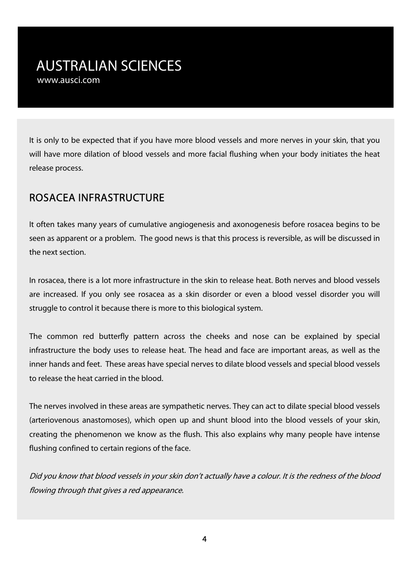It is only to be expected that if you have more blood vessels and more nerves in your skin, that you will have more dilation of blood vessels and more facial flushing when your body initiates the heat release process.

#### ROSACEA INFRASTRUCTURE

It often takes many years of cumulative angiogenesis and axonogenesis before rosacea begins to be seen as apparent or a problem. The good news is that this process is reversible, as will be discussed in the next section.

In rosacea, there is a lot more infrastructure in the skin to release heat. Both nerves and blood vessels are increased. If you only see rosacea as a skin disorder or even a blood vessel disorder you will struggle to control it because there is more to this biological system.

The common red butterfly pattern across the cheeks and nose can be explained by special infrastructure the body uses to release heat. The head and face are important areas, as well as the inner hands and feet. These areas have special nerves to dilate blood vessels and special blood vessels to release the heat carried in the blood.

The nerves involved in these areas are sympathetic nerves. They can act to dilate special blood vessels (arteriovenous anastomoses), which open up and shunt blood into the blood vessels of your skin, creating the phenomenon we know as the flush. This also explains why many people have intense flushing confined to certain regions of the face.

Did you know that blood vessels in your skin don't actually have a colour. It is the redness of the blood flowing through that gives a red appearance.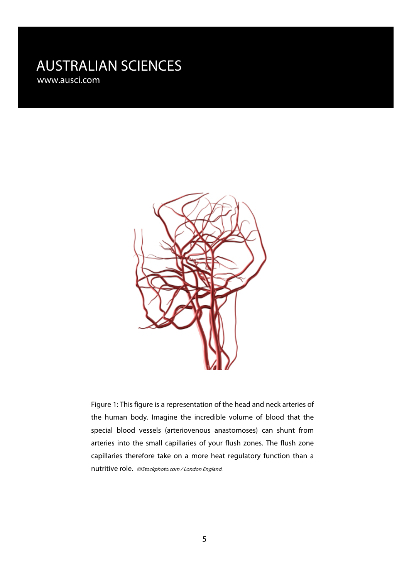

Figure 1: This figure is a representation of the head and neck arteries of the human body. Imagine the incredible volume of blood that the special blood vessels (arteriovenous anastomoses) can shunt from arteries into the small capillaries of your flush zones. The flush zone capillaries therefore take on a more heat regulatory function than a nutritive role. ©iStockphoto.com / London [England](http://www.istockphoto.com/user_view.php?id=2285784).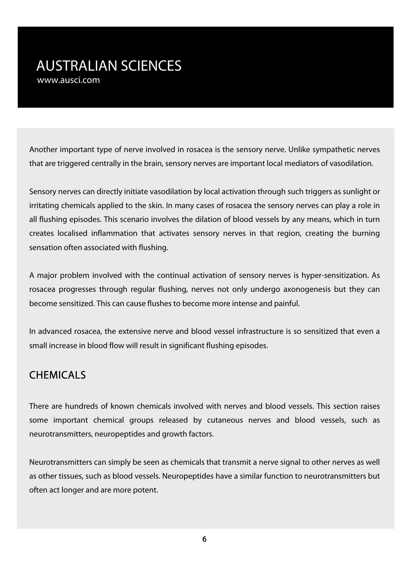Another important type of nerve involved in rosacea is the sensory nerve. Unlike sympathetic nerves that are triggered centrally in the brain, sensory nerves are important local mediators of vasodilation.

Sensory nerves can directly initiate vasodilation by local activation through such triggers as sunlight or irritating chemicals applied to the skin. In many cases of rosacea the sensory nerves can play a role in all flushing episodes. This scenario involves the dilation of blood vessels by any means, which in turn creates localised inflammation that activates sensory nerves in that region, creating the burning sensation often associated with flushing.

A major problem involved with the continual activation of sensory nerves is hyper-sensitization. As rosacea progresses through regular flushing, nerves not only undergo axonogenesis but they can become sensitized. This can cause flushes to become more intense and painful.

In advanced rosacea, the extensive nerve and blood vessel infrastructure is so sensitized that even a small increase in blood flow will result in significant flushing episodes.

#### **CHEMICALS**

There are hundreds of known chemicals involved with nerves and blood vessels. This section raises some important chemical groups released by cutaneous nerves and blood vessels, such as neurotransmitters, neuropeptides and growth factors.

Neurotransmitters can simply be seen as chemicals that transmit a nerve signal to other nerves as well as other tissues, such as blood vessels. Neuropeptides have a similar function to neurotransmitters but often act longer and are more potent.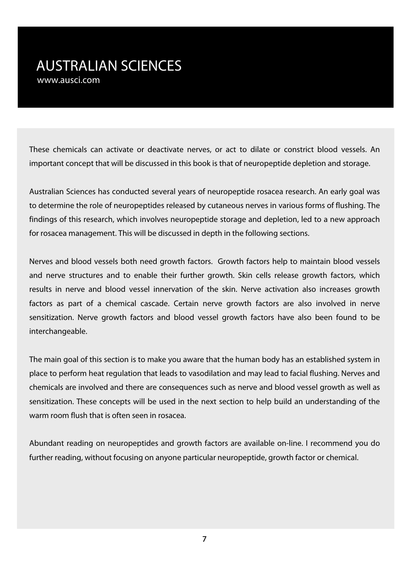These chemicals can activate or deactivate nerves, or act to dilate or constrict blood vessels. An important concept that will be discussed in this book is that of neuropeptide depletion and storage.

Australian Sciences has conducted several years of neuropeptide rosacea research. An early goal was to determine the role of neuropeptides released by cutaneous nerves in various forms of flushing. The findings of this research, which involves neuropeptide storage and depletion, led to a new approach for rosacea management. This will be discussed in depth in the following sections.

Nerves and blood vessels both need growth factors. Growth factors help to maintain blood vessels and nerve structures and to enable their further growth. Skin cells release growth factors, which results in nerve and blood vessel innervation of the skin. Nerve activation also increases growth factors as part of a chemical cascade. Certain nerve growth factors are also involved in nerve sensitization. Nerve growth factors and blood vessel growth factors have also been found to be interchangeable.

The main goal of this section is to make you aware that the human body has an established system in place to perform heat regulation that leads to vasodilation and may lead to facial flushing. Nerves and chemicals are involved and there are consequences such as nerve and blood vessel growth as well as sensitization. These concepts will be used in the next section to help build an understanding of the warm room flush that is often seen in rosacea.

Abundant reading on neuropeptides and growth factors are available on-line. I recommend you do further reading, without focusing on anyone particular neuropeptide, growth factor or chemical.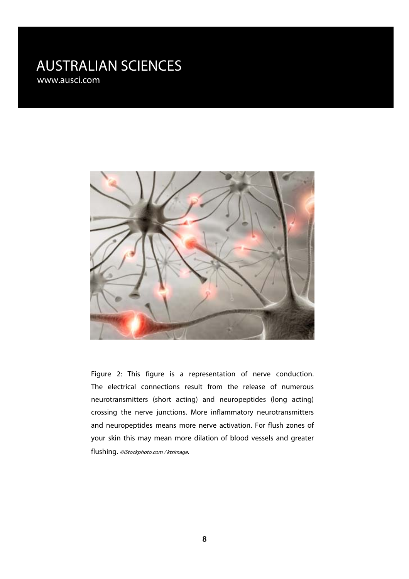

Figure 2: This figure is a representation of nerve conduction. The electrical connections result from the release of numerous neurotransmitters (short acting) and neuropeptides (long acting) crossing the nerve junctions. More inflammatory neurotransmitters and neuropeptides means more nerve activation. For flush zones of your skin this may mean more dilation of blood vessels and greater flushing. ©iStockphoto.com / ktsimage.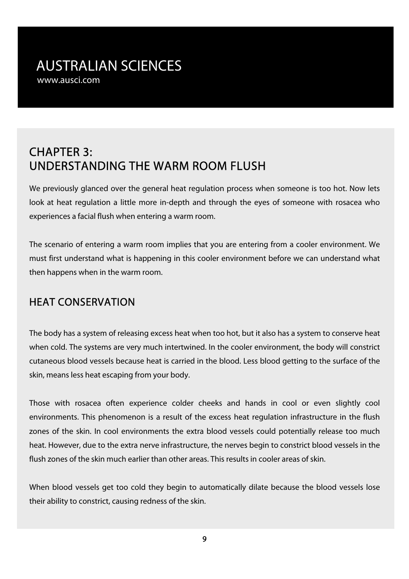# CHAPTER 3: UNDERSTANDING THE WARM ROOM FLUSH

We previously glanced over the general heat regulation process when someone is too hot. Now lets look at heat regulation a little more in-depth and through the eyes of someone with rosacea who experiences a facial flush when entering a warm room.

The scenario of entering a warm room implies that you are entering from a cooler environment. We must first understand what is happening in this cooler environment before we can understand what then happens when in the warm room.

#### HEAT CONSERVATION

The body has a system of releasing excess heat when too hot, but it also has a system to conserve heat when cold. The systems are very much intertwined. In the cooler environment, the body will constrict cutaneous blood vessels because heat is carried in the blood. Less blood getting to the surface of the skin, means less heat escaping from your body.

Those with rosacea often experience colder cheeks and hands in cool or even slightly cool environments. This phenomenon is a result of the excess heat regulation infrastructure in the flush zones of the skin. In cool environments the extra blood vessels could potentially release too much heat. However, due to the extra nerve infrastructure, the nerves begin to constrict blood vessels in the flush zones of the skin much earlier than other areas. This results in cooler areas of skin.

When blood vessels get too cold they begin to automatically dilate because the blood vessels lose their ability to constrict, causing redness of the skin.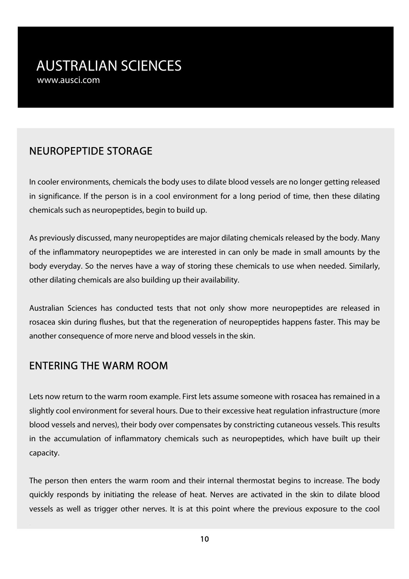#### NEUROPEPTIDE STORAGE

In cooler environments, chemicals the body uses to dilate blood vessels are no longer getting released in significance. If the person is in a cool environment for a long period of time, then these dilating chemicals such as neuropeptides, begin to build up.

As previously discussed, many neuropeptides are major dilating chemicals released by the body. Many of the inflammatory neuropeptides we are interested in can only be made in small amounts by the body everyday. So the nerves have a way of storing these chemicals to use when needed. Similarly, other dilating chemicals are also building up their availability.

Australian Sciences has conducted tests that not only show more neuropeptides are released in rosacea skin during flushes, but that the regeneration of neuropeptides happens faster. This may be another consequence of more nerve and blood vessels in the skin.

#### ENTERING THE WARM ROOM

Lets now return to the warm room example. First lets assume someone with rosacea has remained in a slightly cool environment for several hours. Due to their excessive heat regulation infrastructure (more blood vessels and nerves), their body over compensates by constricting cutaneous vessels. This results in the accumulation of inflammatory chemicals such as neuropeptides, which have built up their capacity.

The person then enters the warm room and their internal thermostat begins to increase. The body quickly responds by initiating the release of heat. Nerves are activated in the skin to dilate blood vessels as well as trigger other nerves. It is at this point where the previous exposure to the cool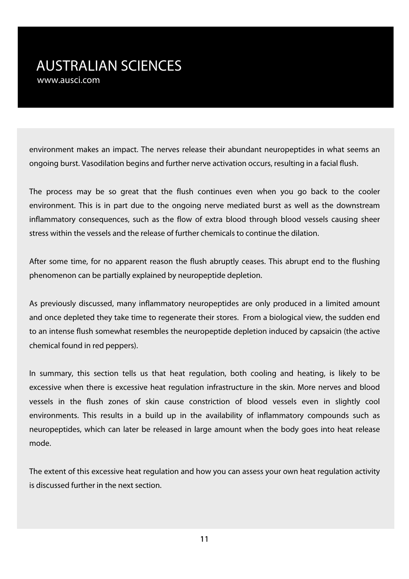environment makes an impact. The nerves release their abundant neuropeptides in what seems an ongoing burst. Vasodilation begins and further nerve activation occurs, resulting in a facial flush.

The process may be so great that the flush continues even when you go back to the cooler environment. This is in part due to the ongoing nerve mediated burst as well as the downstream inflammatory consequences, such as the flow of extra blood through blood vessels causing sheer stress within the vessels and the release of further chemicals to continue the dilation.

After some time, for no apparent reason the flush abruptly ceases. This abrupt end to the flushing phenomenon can be partially explained by neuropeptide depletion.

As previously discussed, many inflammatory neuropeptides are only produced in a limited amount and once depleted they take time to regenerate their stores. From a biological view, the sudden end to an intense flush somewhat resembles the neuropeptide depletion induced by capsaicin (the active chemical found in red peppers).

In summary, this section tells us that heat regulation, both cooling and heating, is likely to be excessive when there is excessive heat regulation infrastructure in the skin. More nerves and blood vessels in the flush zones of skin cause constriction of blood vessels even in slightly cool environments. This results in a build up in the availability of inflammatory compounds such as neuropeptides, which can later be released in large amount when the body goes into heat release mode.

The extent of this excessive heat regulation and how you can assess your own heat regulation activity is discussed further in the next section.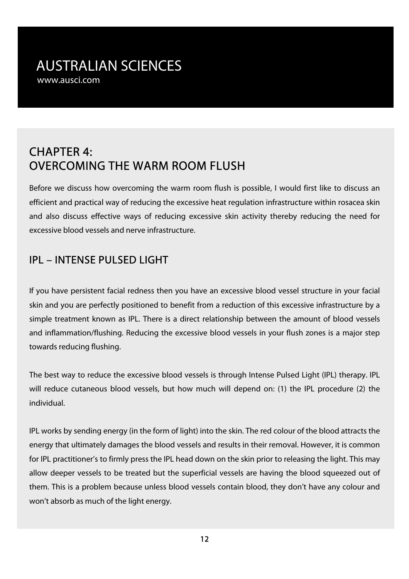# CHAPTER 4: OVERCOMING THE WARM ROOM FLUSH

Before we discuss how overcoming the warm room flush is possible, I would first like to discuss an efficient and practical way of reducing the excessive heat regulation infrastructure within rosacea skin and also discuss effective ways of reducing excessive skin activity thereby reducing the need for excessive blood vessels and nerve infrastructure.

# IPL – INTENSE PULSED LIGHT

If you have persistent facial redness then you have an excessive blood vessel structure in your facial skin and you are perfectly positioned to benefit from a reduction of this excessive infrastructure by a simple treatment known as IPL. There is a direct relationship between the amount of blood vessels and inflammation/flushing. Reducing the excessive blood vessels in your flush zones is a major step towards reducing flushing.

The best way to reduce the excessive blood vessels is through Intense Pulsed Light (IPL) therapy. IPL will reduce cutaneous blood vessels, but how much will depend on: (1) the IPL procedure (2) the individual.

IPL works by sending energy (in the form of light) into the skin. The red colour of the blood attracts the energy that ultimately damages the blood vessels and results in their removal. However, it is common for IPL practitioner's to firmly press the IPL head down on the skin prior to releasing the light. This may allow deeper vessels to be treated but the superficial vessels are having the blood squeezed out of them. This is a problem because unless blood vessels contain blood, they don't have any colour and won't absorb as much of the light energy.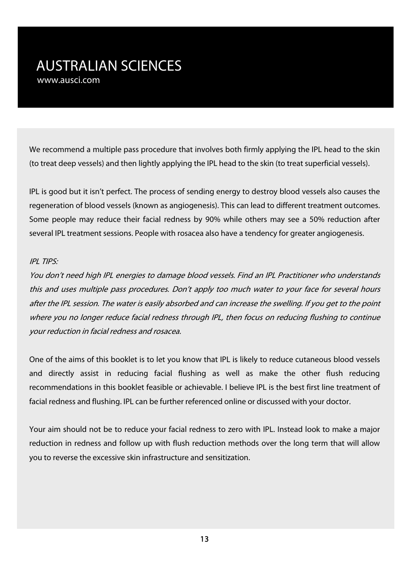We recommend a multiple pass procedure that involves both firmly applying the IPL head to the skin (to treat deep vessels) and then lightly applying the IPL head to the skin (to treat superficial vessels).

IPL is good but it isn't perfect. The process of sending energy to destroy blood vessels also causes the regeneration of blood vessels (known as angiogenesis). This can lead to different treatment outcomes. Some people may reduce their facial redness by 90% while others may see a 50% reduction after several IPL treatment sessions. People with rosacea also have a tendency for greater angiogenesis.

#### IPL TIPS:

You don't need high IPL energies to damage blood vessels. Find an IPL Practitioner who understands this and uses multiple pass procedures. Don't apply too much water to your face for several hours after the IPL session. The water is easily absorbed and can increase the swelling. If you get to the point where you no longer reduce facial redness through IPL, then focus on reducing flushing to continue your reduction in facial redness and rosacea.

One of the aims of this booklet is to let you know that IPL is likely to reduce cutaneous blood vessels and directly assist in reducing facial flushing as well as make the other flush reducing recommendations in this booklet feasible or achievable. I believe IPL is the best first line treatment of facial redness and flushing. IPL can be further referenced online or discussed with your doctor.

Your aim should not be to reduce your facial redness to zero with IPL. Instead look to make a major reduction in redness and follow up with flush reduction methods over the long term that will allow you to reverse the excessive skin infrastructure and sensitization.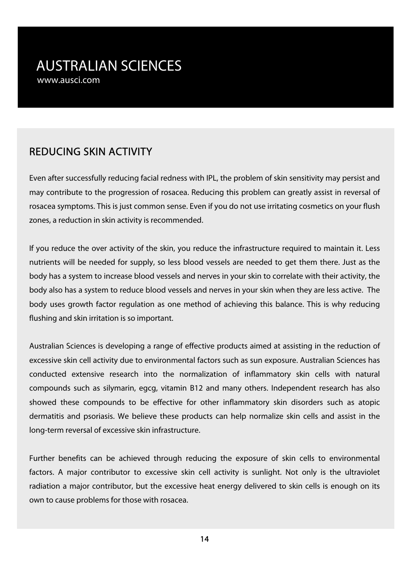## REDUCING SKIN ACTIVITY

Even after successfully reducing facial redness with IPL, the problem of skin sensitivity may persist and may contribute to the progression of rosacea. Reducing this problem can greatly assist in reversal of rosacea symptoms. This is just common sense. Even if you do not use irritating cosmetics on your flush zones, a reduction in skin activity is recommended.

If you reduce the over activity of the skin, you reduce the infrastructure required to maintain it. Less nutrients will be needed for supply, so less blood vessels are needed to get them there. Just as the body has a system to increase blood vessels and nerves in your skin to correlate with their activity, the body also has a system to reduce blood vessels and nerves in your skin when they are less active. The body uses growth factor regulation as one method of achieving this balance. This is why reducing flushing and skin irritation is so important.

Australian Sciences is developing a range of effective products aimed at assisting in the reduction of excessive skin cell activity due to environmental factors such as sun exposure. Australian Sciences has conducted extensive research into the normalization of inflammatory skin cells with natural compounds such as silymarin, egcg, vitamin B12 and many others. Independent research has also showed these compounds to be effective for other inflammatory skin disorders such as atopic dermatitis and psoriasis. We believe these products can help normalize skin cells and assist in the long-term reversal of excessive skin infrastructure.

Further benefits can be achieved through reducing the exposure of skin cells to environmental factors. A major contributor to excessive skin cell activity is sunlight. Not only is the ultraviolet radiation a major contributor, but the excessive heat energy delivered to skin cells is enough on its own to cause problems for those with rosacea.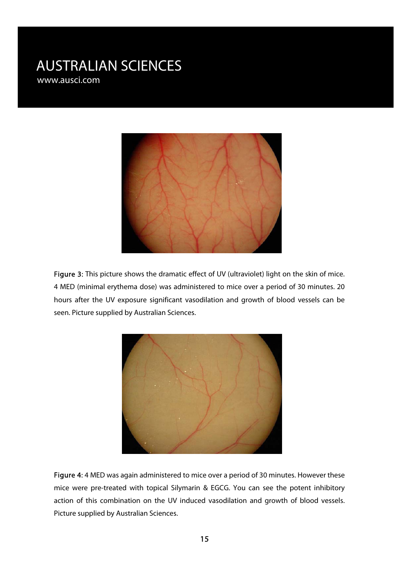

Figure 3: This picture shows the dramatic effect of UV (ultraviolet) light on the skin of mice. 4 MED (minimal erythema dose) was administered to mice over a period of 30 minutes. 20 hours after the UV exposure significant vasodilation and growth of blood vessels can be seen. Picture supplied by Australian Sciences.



Figure 4: 4 MED was again administered to mice over a period of 30 minutes. However these mice were pre-treated with topical Silymarin & EGCG. You can see the potent inhibitory action of this combination on the UV induced vasodilation and growth of blood vessels. Picture supplied by Australian Sciences.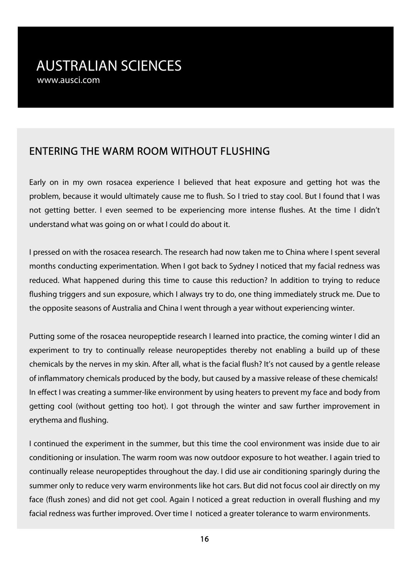#### ENTERING THE WARM ROOM WITHOUT FLUSHING

Early on in my own rosacea experience I believed that heat exposure and getting hot was the problem, because it would ultimately cause me to flush. So I tried to stay cool. But I found that I was not getting better. I even seemed to be experiencing more intense flushes. At the time I didn't understand what was going on or what I could do about it.

I pressed on with the rosacea research. The research had now taken me to China where I spent several months conducting experimentation. When I got back to Sydney I noticed that my facial redness was reduced. What happened during this time to cause this reduction? In addition to trying to reduce flushing triggers and sun exposure, which I always try to do, one thing immediately struck me. Due to the opposite seasons of Australia and China I went through a year without experiencing winter.

Putting some of the rosacea neuropeptide research I learned into practice, the coming winter I did an experiment to try to continually release neuropeptides thereby not enabling a build up of these chemicals by the nerves in my skin. After all, what is the facial flush? It's not caused by a gentle release of inflammatory chemicals produced by the body, but caused by a massive release of these chemicals! In effect I was creating a summer-like environment by using heaters to prevent my face and body from getting cool (without getting too hot). I got through the winter and saw further improvement in erythema and flushing.

I continued the experiment in the summer, but this time the cool environment was inside due to air conditioning or insulation. The warm room was now outdoor exposure to hot weather. I again tried to continually release neuropeptides throughout the day. I did use air conditioning sparingly during the summer only to reduce very warm environments like hot cars. But did not focus cool air directly on my face (flush zones) and did not get cool. Again I noticed a great reduction in overall flushing and my facial redness was further improved. Over time I noticed a greater tolerance to warm environments.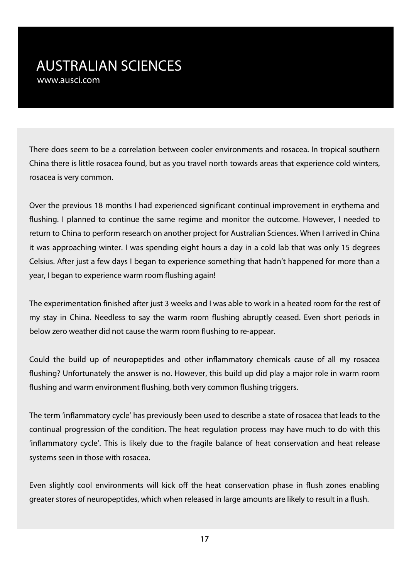There does seem to be a correlation between cooler environments and rosacea. In tropical southern China there is little rosacea found, but as you travel north towards areas that experience cold winters, rosacea is very common.

Over the previous 18 months I had experienced significant continual improvement in erythema and flushing. I planned to continue the same regime and monitor the outcome. However, I needed to return to China to perform research on another project for Australian Sciences. When I arrived in China it was approaching winter. I was spending eight hours a day in a cold lab that was only 15 degrees Celsius. After just a few days I began to experience something that hadn't happened for more than a year, I began to experience warm room flushing again!

The experimentation finished after just 3 weeks and I was able to work in a heated room for the rest of my stay in China. Needless to say the warm room flushing abruptly ceased. Even short periods in below zero weather did not cause the warm room flushing to re-appear.

Could the build up of neuropeptides and other inflammatory chemicals cause of all my rosacea flushing? Unfortunately the answer is no. However, this build up did play a major role in warm room flushing and warm environment flushing, both very common flushing triggers.

The term 'inflammatory cycle' has previously been used to describe a state of rosacea that leads to the continual progression of the condition. The heat regulation process may have much to do with this 'inflammatory cycle'. This is likely due to the fragile balance of heat conservation and heat release systems seen in those with rosacea.

Even slightly cool environments will kick off the heat conservation phase in flush zones enabling greater stores of neuropeptides, which when released in large amounts are likely to result in a flush.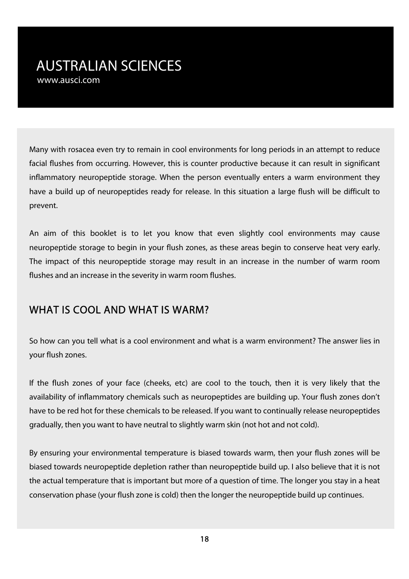Many with rosacea even try to remain in cool environments for long periods in an attempt to reduce facial flushes from occurring. However, this is counter productive because it can result in significant inflammatory neuropeptide storage. When the person eventually enters a warm environment they have a build up of neuropeptides ready for release. In this situation a large flush will be difficult to prevent.

An aim of this booklet is to let you know that even slightly cool environments may cause neuropeptide storage to begin in your flush zones, as these areas begin to conserve heat very early. The impact of this neuropeptide storage may result in an increase in the number of warm room flushes and an increase in the severity in warm room flushes.

#### WHAT IS COOL AND WHAT IS WARM?

So how can you tell what is a cool environment and what is a warm environment? The answer lies in your flush zones.

If the flush zones of your face (cheeks, etc) are cool to the touch, then it is very likely that the availability of inflammatory chemicals such as neuropeptides are building up. Your flush zones don't have to be red hot for these chemicals to be released. If you want to continually release neuropeptides gradually, then you want to have neutral to slightly warm skin (not hot and not cold).

By ensuring your environmental temperature is biased towards warm, then your flush zones will be biased towards neuropeptide depletion rather than neuropeptide build up. I also believe that it is not the actual temperature that is important but more of a question of time. The longer you stay in a heat conservation phase (your flush zone is cold) then the longer the neuropeptide build up continues.